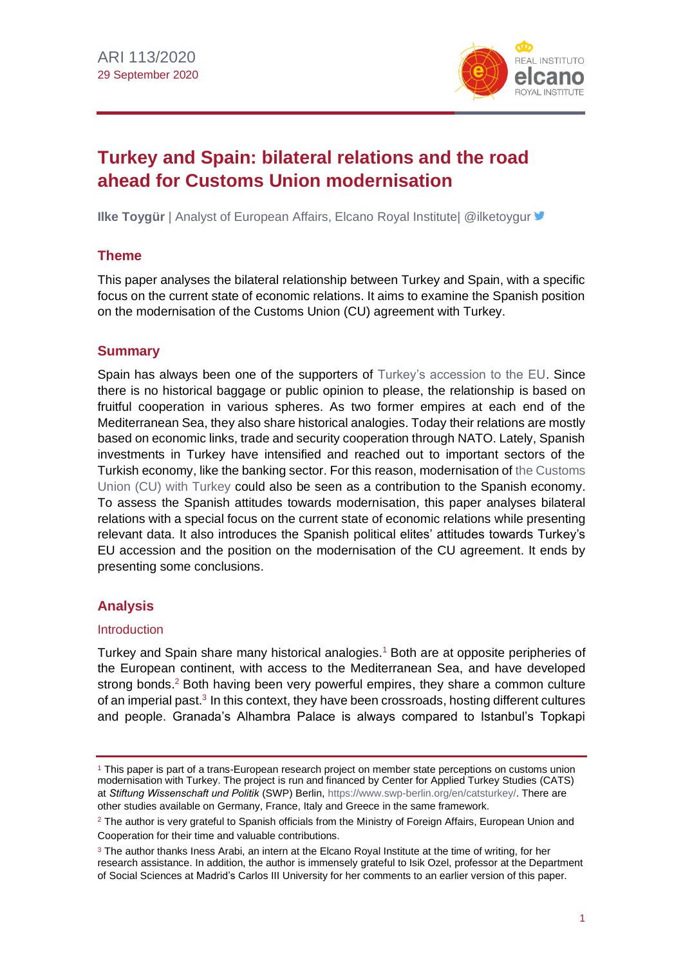

# **Turkey and Spain: bilateral relations and the road ahead for Customs Union modernisation**

**Ilke Toygür** | Analyst of European Affairs, Elcano Royal Institute| @ilketoygur **■** 

# **Theme**

This paper analyses the bilateral relationship between Turkey and Spain, with a specific focus on the current state of economic relations. It aims to examine the Spanish position on the modernisation of the Customs Union (CU) agreement with Turkey.

## **Summary**

Spain has always been one of the supporters of [Turkey's accession to the EU.](http://www.realinstitutoelcano.org/wps/portal/rielcano_en/contenido?WCM_GLOBAL_CONTEXT=/elcano/elcano_in/zonas_in/wp14-2015-chislett-turkeys-10-years-of-eu-accession-negotiations-no-end-in-sight) Since there is no historical baggage or public opinion to please, the relationship is based on fruitful cooperation in various spheres. As two former empires at each end of the Mediterranean Sea, they also share historical analogies. Today their relations are mostly based on economic links, trade and security cooperation through NATO. Lately, Spanish investments in Turkey have intensified and reached out to important sectors of the Turkish economy, like the banking sector. For this reason, modernisation of [the Customs](https://ec.europa.eu/taxation_customs/business/calculation-customs-duties/rules-origin/customs-unions/turkey-customs-unions-preferential-arrangements_en)  [Union \(CU\) with Turkey](https://ec.europa.eu/taxation_customs/business/calculation-customs-duties/rules-origin/customs-unions/turkey-customs-unions-preferential-arrangements_en) could also be seen as a contribution to the Spanish economy. To assess the Spanish attitudes towards modernisation, this paper analyses bilateral relations with a special focus on the current state of economic relations while presenting relevant data. It also introduces the Spanish political elites' attitudes towards Turkey's EU accession and the position on the modernisation of the CU agreement. It ends by presenting some conclusions.

# **Analysis**

## Introduction

Turkey and Spain share many historical analogies.<sup>1</sup> Both are at opposite peripheries of the European continent, with access to the Mediterranean Sea, and have developed strong bonds.<sup>2</sup> Both having been very powerful empires, they share a common culture of an imperial past.<sup>3</sup> In this context, they have been crossroads, hosting different cultures and people. Granada's Alhambra Palace is always compared to Istanbul's Topkapi

<sup>1</sup> This paper is part of a trans-European research project on member state perceptions on customs union modernisation with Turkey. The project is run and financed by Center for Applied Turkey Studies (CATS) at *Stiftung Wissenschaft und Politik* (SWP) Berlin, [https://www.swp-berlin.org/en/catsturkey/.](https://www.swp-berlin.org/en/catsturkey/) There are other studies available on Germany, France, Italy and Greece in the same framework.

 $2$  The author is very grateful to Spanish officials from the Ministry of Foreign Affairs, European Union and Cooperation for their time and valuable contributions.

<sup>&</sup>lt;sup>3</sup> The author thanks Iness Arabi, an intern at the Elcano Roval Institute at the time of writing, for her research assistance. In addition, the author is immensely grateful to Isik Ozel, professor at the Department of Social Sciences at Madrid's Carlos III University for her comments to an earlier version of this paper.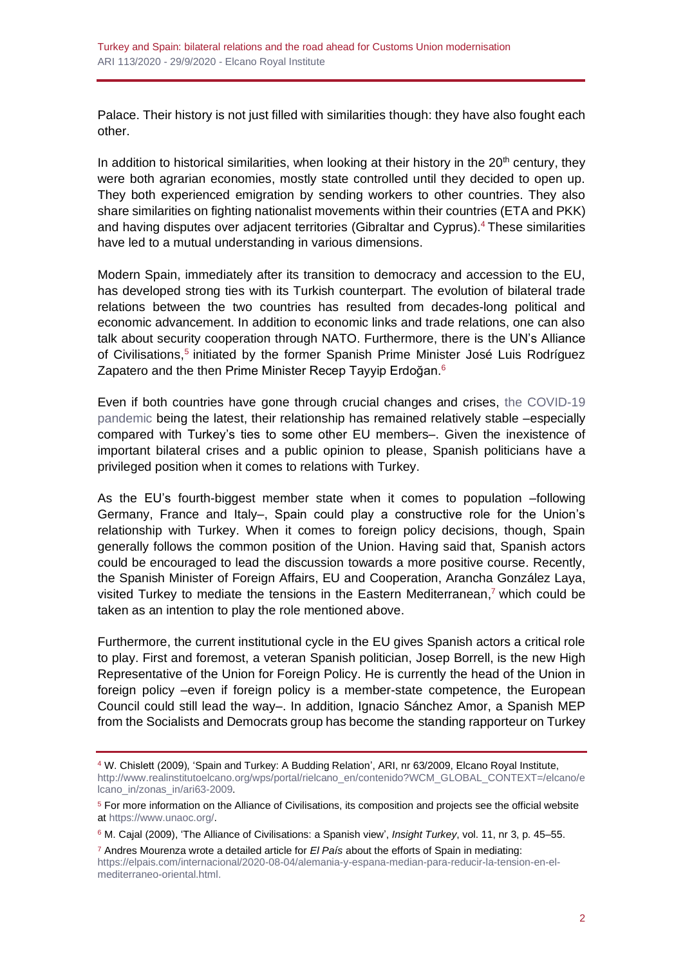Palace. Their history is not just filled with similarities though: they have also fought each other.

In addition to historical similarities, when looking at their history in the  $20<sup>th</sup>$  century, they were both agrarian economies, mostly state controlled until they decided to open up. They both experienced emigration by sending workers to other countries. They also share similarities on fighting nationalist movements within their countries (ETA and PKK) and having disputes over adjacent territories (Gibraltar and Cyprus).<sup>4</sup> These similarities have led to a mutual understanding in various dimensions.

Modern Spain, immediately after its transition to democracy and accession to the EU, has developed strong ties with its Turkish counterpart. The evolution of bilateral trade relations between the two countries has resulted from decades-long political and economic advancement. In addition to economic links and trade relations, one can also talk about security cooperation through NATO. Furthermore, there is the UN's Alliance of Civilisations,<sup>5</sup> initiated by the former Spanish Prime Minister José Luis Rodríguez Zapatero and the then Prime Minister Recep Tayyip Erdoğan.<sup>6</sup>

Even if both countries have gone through crucial changes and crises, [the COVID-19](https://especiales.realinstitutoelcano.org/coronavirus/?lang=en)  [pandemic](https://especiales.realinstitutoelcano.org/coronavirus/?lang=en) being the latest, their relationship has remained relatively stable –especially compared with Turkey's ties to some other EU members–. Given the inexistence of important bilateral crises and a public opinion to please, Spanish politicians have a privileged position when it comes to relations with Turkey.

As the EU's fourth-biggest member state when it comes to population –following Germany, France and Italy–, Spain could play a constructive role for the Union's relationship with Turkey. When it comes to foreign policy decisions, though, Spain generally follows the common position of the Union. Having said that, Spanish actors could be encouraged to lead the discussion towards a more positive course. Recently, the Spanish Minister of Foreign Affairs, EU and Cooperation, Arancha González Laya, visited Turkey to mediate the tensions in the Eastern Mediterranean, <sup>7</sup> which could be taken as an intention to play the role mentioned above.

Furthermore, the current institutional cycle in the EU gives Spanish actors a critical role to play. First and foremost, a veteran Spanish politician, Josep Borrell, is the new High Representative of the Union for Foreign Policy. He is currently the head of the Union in foreign policy –even if foreign policy is a member-state competence, the European Council could still lead the way–. In addition, Ignacio Sánchez Amor, a Spanish MEP from the Socialists and Democrats group has become the standing rapporteur on Turkey

<sup>6</sup> M. Cajal (2009), 'The Alliance of Civilisations: a Spanish view', *Insight Turkey*, vol. 11, nr 3, p. 45–55.

<sup>7</sup> Andres Mourenza wrote a detailed article for *El País* about the efforts of Spain in mediating: [https://elpais.com/internacional/2020-08-04/alemania-y-espana-median-para-reducir-la-tension-en-el](https://elpais.com/internacional/2020-08-04/alemania-y-espana-median-para-reducir-la-tension-en-el-mediterraneo-oriental.html)[mediterraneo-oriental.html.](https://elpais.com/internacional/2020-08-04/alemania-y-espana-median-para-reducir-la-tension-en-el-mediterraneo-oriental.html)

<sup>4</sup> W. Chislett (2009), 'Spain and Turkey: A Budding Relation', ARI, nr 63/2009, Elcano Royal Institute, [http://www.realinstitutoelcano.org/wps/portal/rielcano\\_en/contenido?WCM\\_GLOBAL\\_CONTEXT=/elcano/e](http://www.realinstitutoelcano.org/wps/portal/rielcano_en/contenido?WCM_GLOBAL_CONTEXT=/elcano/elcano_in/zonas_in/ari63-2009) [lcano\\_in/zonas\\_in/ari63-2009.](http://www.realinstitutoelcano.org/wps/portal/rielcano_en/contenido?WCM_GLOBAL_CONTEXT=/elcano/elcano_in/zonas_in/ari63-2009)

<sup>5</sup> For more information on the Alliance of Civilisations, its composition and projects see the official website at [https://www.unaoc.org/.](https://www.unaoc.org/)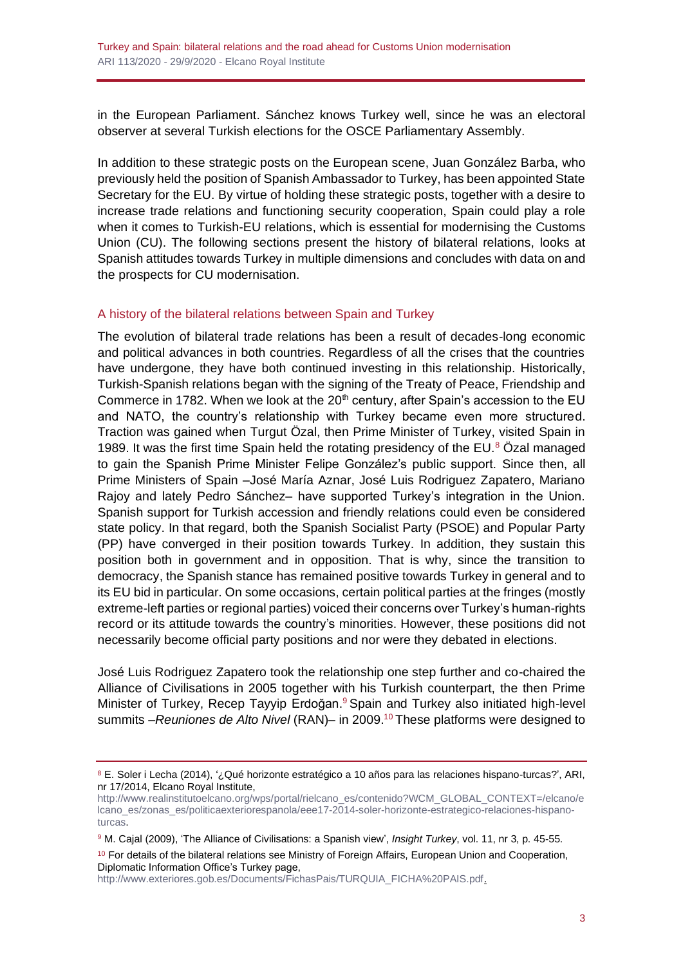in the European Parliament. Sánchez knows Turkey well, since he was an electoral observer at several Turkish elections for the OSCE Parliamentary Assembly.

In addition to these strategic posts on the European scene, Juan González Barba, who previously held the position of Spanish Ambassador to Turkey, has been appointed State Secretary for the EU. By virtue of holding these strategic posts, together with a desire to increase trade relations and functioning security cooperation, Spain could play a role when it comes to Turkish-EU relations, which is essential for modernising the Customs Union (CU). The following sections present the history of bilateral relations, looks at Spanish attitudes towards Turkey in multiple dimensions and concludes with data on and the prospects for CU modernisation.

#### A history of the bilateral relations between Spain and Turkey

The evolution of bilateral trade relations has been a result of decades-long economic and political advances in both countries. Regardless of all the crises that the countries have undergone, they have both continued investing in this relationship. Historically, Turkish-Spanish relations began with the signing of the Treaty of Peace, Friendship and Commerce in 1782. When we look at the  $20<sup>th</sup>$  century, after Spain's accession to the EU and NATO, the country's relationship with Turkey became even more structured. Traction was gained when Turgut Özal, then Prime Minister of Turkey, visited Spain in 1989. It was the first time Spain held the rotating presidency of the EU. $8$  Özal managed to gain the Spanish Prime Minister Felipe González's public support. Since then, all Prime Ministers of Spain –José María Aznar, José Luis Rodriguez Zapatero, Mariano Rajoy and lately Pedro Sánchez– have supported Turkey's integration in the Union. Spanish support for Turkish accession and friendly relations could even be considered state policy. In that regard, both the Spanish Socialist Party (PSOE) and Popular Party (PP) have converged in their position towards Turkey. In addition, they sustain this position both in government and in opposition. That is why, since the transition to democracy, the Spanish stance has remained positive towards Turkey in general and to its EU bid in particular. On some occasions, certain political parties at the fringes (mostly extreme-left parties or regional parties) voiced their concerns over Turkey's human-rights record or its attitude towards the country's minorities. However, these positions did not necessarily become official party positions and nor were they debated in elections.

José Luis Rodriguez Zapatero took the relationship one step further and co-chaired the Alliance of Civilisations in 2005 together with his Turkish counterpart, the then Prime Minister of Turkey, Recep Tayyip Erdoğan. <sup>9</sup> Spain and Turkey also initiated high-level summits –*Reuniones de Alto Nivel* (RAN)– in 2009.<sup>10</sup> These platforms were designed to

[http://www.exteriores.gob.es/Documents/FichasPais/TURQUIA\\_FICHA%20PAIS.pdf.](http://www.exteriores.gob.es/Documents/FichasPais/TURQUIA_FICHA%20PAIS.pdf)

<sup>8</sup> E. Soler i Lecha (2014), '¿Qué horizonte estratégico a 10 años para las relaciones hispano-turcas?', ARI, nr 17/2014, Elcano Royal Institute,

[http://www.realinstitutoelcano.org/wps/portal/rielcano\\_es/contenido?WCM\\_GLOBAL\\_CONTEXT=/elcano/e](http://www.realinstitutoelcano.org/wps/portal/rielcano_es/contenido?WCM_GLOBAL_CONTEXT=/elcano/elcano_es/zonas_es/politicaexteriorespanola/eee17-2014-soler-horizonte-estrategico-relaciones-hispano-turcas) [lcano\\_es/zonas\\_es/politicaexteriorespanola/eee17-2014-soler-horizonte-estrategico-relaciones-hispano](http://www.realinstitutoelcano.org/wps/portal/rielcano_es/contenido?WCM_GLOBAL_CONTEXT=/elcano/elcano_es/zonas_es/politicaexteriorespanola/eee17-2014-soler-horizonte-estrategico-relaciones-hispano-turcas)[turcas.](http://www.realinstitutoelcano.org/wps/portal/rielcano_es/contenido?WCM_GLOBAL_CONTEXT=/elcano/elcano_es/zonas_es/politicaexteriorespanola/eee17-2014-soler-horizonte-estrategico-relaciones-hispano-turcas)

<sup>9</sup> M. Cajal (2009), 'The Alliance of Civilisations: a Spanish view', *Insight Turkey*, vol. 11, nr 3, p. 45-55.

<sup>&</sup>lt;sup>10</sup> For details of the bilateral relations see Ministry of Foreign Affairs, European Union and Cooperation, Diplomatic Information Office's Turkey page,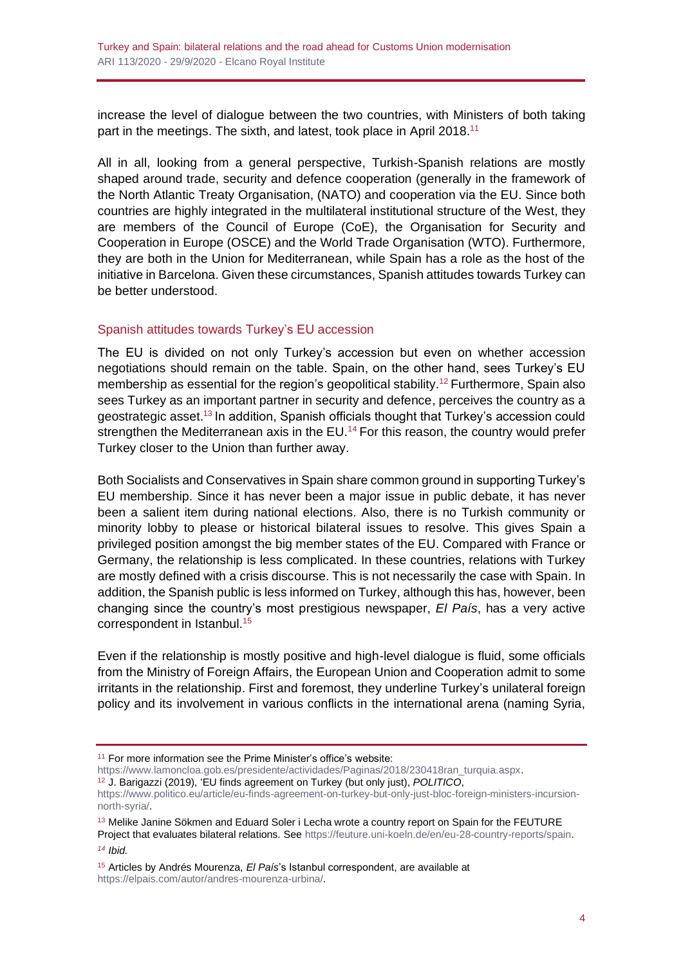increase the level of dialogue between the two countries, with Ministers of both taking part in the meetings. The sixth, and latest, took place in April 2018.<sup>11</sup>

All in all, looking from a general perspective, Turkish-Spanish relations are mostly shaped around trade, security and defence cooperation (generally in the framework of the North Atlantic Treaty Organisation, (NATO) and cooperation via the EU. Since both countries are highly integrated in the multilateral institutional structure of the West, they are members of the Council of Europe (CoE), the Organisation for Security and Cooperation in Europe (OSCE) and the World Trade Organisation (WTO). Furthermore, they are both in the Union for Mediterranean, while Spain has a role as the host of the initiative in Barcelona. Given these circumstances, Spanish attitudes towards Turkey can be better understood.

#### Spanish attitudes towards Turkey's EU accession

The EU is divided on not only Turkey's accession but even on whether accession negotiations should remain on the table. Spain, on the other hand, sees Turkey's EU membership as essential for the region's geopolitical stability.<sup>12</sup> Furthermore, Spain also sees Turkey as an important partner in security and defence, perceives the country as a geostrategic asset. <sup>13</sup> In addition, Spanish officials thought that Turkey's accession could strengthen the Mediterranean axis in the  $EU$ .<sup>14</sup> For this reason, the country would prefer Turkey closer to the Union than further away.

Both Socialists and Conservatives in Spain share common ground in supporting Turkey's EU membership. Since it has never been a major issue in public debate, it has never been a salient item during national elections. Also, there is no Turkish community or minority lobby to please or historical bilateral issues to resolve. This gives Spain a privileged position amongst the big member states of the EU. Compared with France or Germany, the relationship is less complicated. In these countries, relations with Turkey are mostly defined with a crisis discourse. This is not necessarily the case with Spain. In addition, the Spanish public is less informed on Turkey, although this has, however, been changing since the country's most prestigious newspaper, *El País*, has a very active correspondent in Istanbul.<sup>15</sup>

Even if the relationship is mostly positive and high-level dialogue is fluid, some officials from the Ministry of Foreign Affairs, the European Union and Cooperation admit to some irritants in the relationship. First and foremost, they underline Turkey's unilateral foreign policy and its involvement in various conflicts in the international arena (naming Syria,

<sup>12</sup> J. Barigazzi (2019), 'EU finds agreement on Turkey (but only just), *POLITICO*,

<sup>13</sup> Melike Janine Sökmen and Eduard Soler i Lecha wrote a country report on Spain for the FEUTURE Project that evaluates bilateral relations. See [https://feuture.uni-koeln.de/en/eu-28-country-reports/spain.](https://feuture.uni-koeln.de/en/eu-28-country-reports/spain) *<sup>14</sup> Ibid.*

<sup>15</sup> Articles by Andrés Mourenza, *El País*'s Istanbul correspondent, are available at [https://elpais.com/autor/andres-mourenza-urbina/.](https://elpais.com/autor/andres-mourenza-urbina/)

<sup>11</sup> For more information see the Prime Minister's office's website:

[https://www.lamoncloa.gob.es/presidente/actividades/Paginas/2018/230418ran\\_turquia.aspx.](https://www.lamoncloa.gob.es/presidente/actividades/Paginas/2018/230418ran_turquia.aspx)

[https://www.politico.eu/article/eu-finds-agreement-on-turkey-but-only-just-bloc-foreign-ministers-incursion](https://www.politico.eu/article/eu-finds-agreement-on-turkey-but-only-just-bloc-foreign-ministers-incursion-north-syria/)[north-syria/.](https://www.politico.eu/article/eu-finds-agreement-on-turkey-but-only-just-bloc-foreign-ministers-incursion-north-syria/)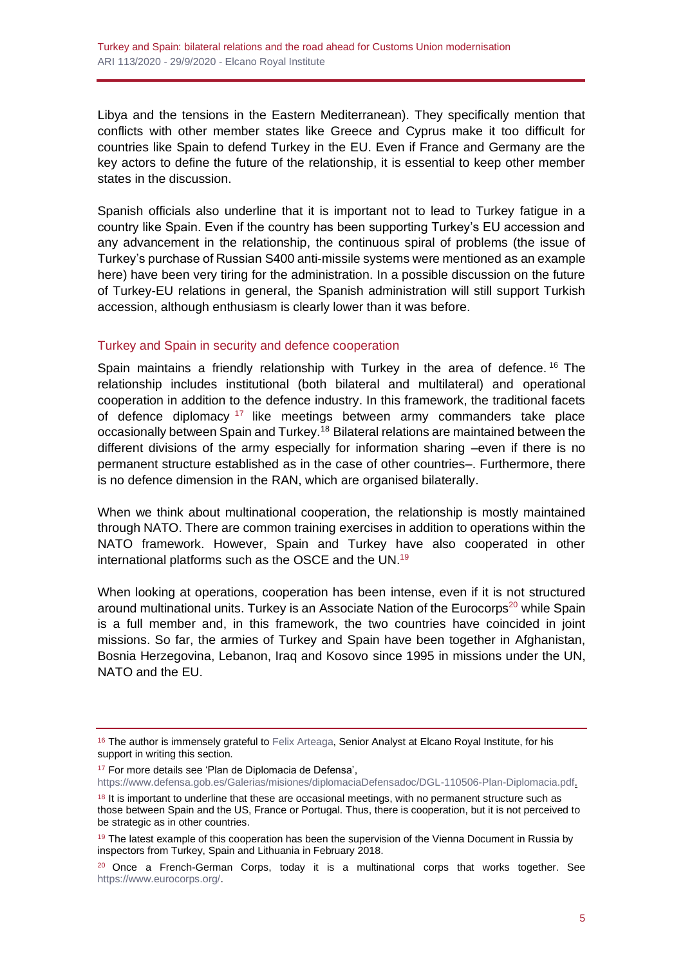Libya and the tensions in the Eastern Mediterranean). They specifically mention that conflicts with other member states like Greece and Cyprus make it too difficult for countries like Spain to defend Turkey in the EU. Even if France and Germany are the key actors to define the future of the relationship, it is essential to keep other member states in the discussion.

Spanish officials also underline that it is important not to lead to Turkey fatigue in a country like Spain. Even if the country has been supporting Turkey's EU accession and any advancement in the relationship, the continuous spiral of problems (the issue of Turkey's purchase of Russian S400 anti-missile systems were mentioned as an example here) have been very tiring for the administration. In a possible discussion on the future of Turkey-EU relations in general, the Spanish administration will still support Turkish accession, although enthusiasm is clearly lower than it was before.

## Turkey and Spain in security and defence cooperation

Spain maintains a friendly relationship with Turkey in the area of defence.<sup>16</sup> The relationship includes institutional (both bilateral and multilateral) and operational cooperation in addition to the defence industry. In this framework, the traditional facets of defence diplomacy  $17$  like meetings between army commanders take place occasionally between Spain and Turkey.<sup>18</sup> Bilateral relations are maintained between the different divisions of the army especially for information sharing –even if there is no permanent structure established as in the case of other countries–. Furthermore, there is no defence dimension in the RAN, which are organised bilaterally.

When we think about multinational cooperation, the relationship is mostly maintained through NATO. There are common training exercises in addition to operations within the NATO framework. However, Spain and Turkey have also cooperated in other international platforms such as the OSCE and the UN.<sup>19</sup>

When looking at operations, cooperation has been intense, even if it is not structured around multinational units. Turkey is an Associate Nation of the Eurocorps<sup>20</sup> while Spain is a full member and, in this framework, the two countries have coincided in joint missions. So far, the armies of Turkey and Spain have been together in Afghanistan, Bosnia Herzegovina, Lebanon, Iraq and Kosovo since 1995 in missions under the UN, NATO and the EU.

<sup>17</sup> For more details see 'Plan de Diplomacia de Defensa',

<sup>&</sup>lt;sup>16</sup> The author is immensely grateful to [Felix Arteaga,](http://www.realinstitutoelcano.org/wps/portal/rielcano_en/biography/?WCM_GLOBAL_CONTEXT=/elcanov2_en/elcanov2/analysts/felix-arteaga&allowduplicateresults=false) Senior Analyst at Elcano Royal Institute, for his support in writing this section.

[https://www.defensa.gob.es/Galerias/misiones/diplomaciaDefensadoc/DGL-110506-Plan-Diplomacia.pdf.](https://www.defensa.gob.es/Galerias/misiones/diplomaciaDefensadoc/DGL-110506-Plan-Diplomacia.pdf)

<sup>&</sup>lt;sup>18</sup> It is important to underline that these are occasional meetings, with no permanent structure such as those between Spain and the US, France or Portugal. Thus, there is cooperation, but it is not perceived to be strategic as in other countries.

<sup>&</sup>lt;sup>19</sup> The latest example of this cooperation has been the supervision of the Vienna Document in Russia by inspectors from Turkey, Spain and Lithuania in February 2018.

 $20$  Once a French-German Corps, today it is a multinational corps that works together. See [https://www.eurocorps.org/.](https://www.eurocorps.org/)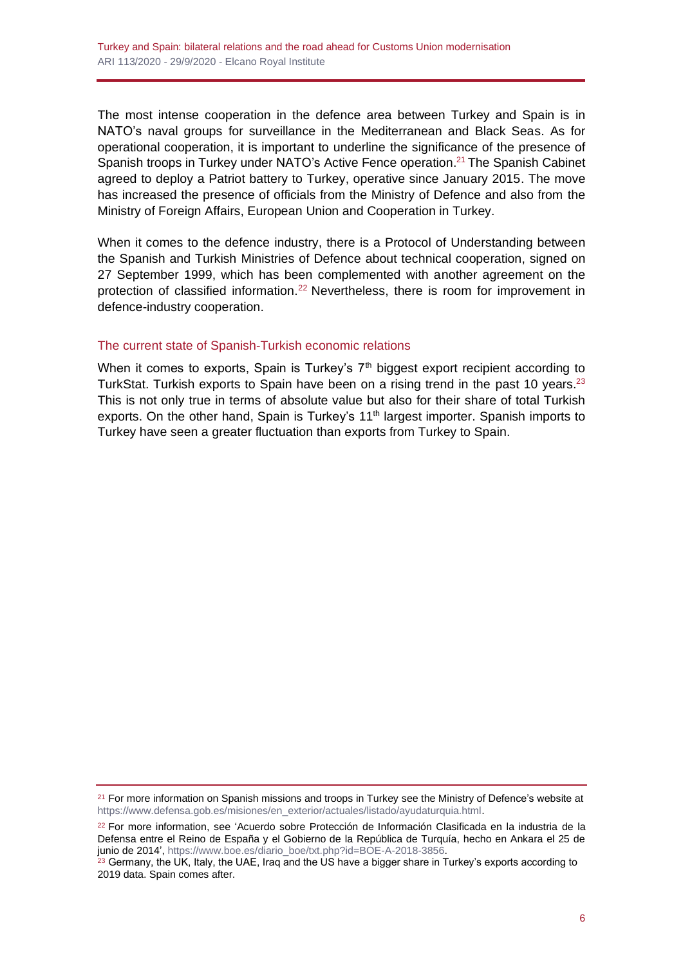The most intense cooperation in the defence area between Turkey and Spain is in NATO's naval groups for surveillance in the Mediterranean and Black Seas. As for operational cooperation, it is important to underline the significance of the presence of Spanish troops in Turkey under NATO's Active Fence operation. <sup>21</sup> The Spanish Cabinet agreed to deploy a Patriot battery to Turkey, operative since January 2015. The move has increased the presence of officials from the Ministry of Defence and also from the Ministry of Foreign Affairs, European Union and Cooperation in Turkey.

When it comes to the defence industry, there is a Protocol of Understanding between the Spanish and Turkish Ministries of Defence about technical cooperation, signed on 27 September 1999, which has been complemented with another agreement on the protection of classified information.<sup>22</sup> Nevertheless, there is room for improvement in defence-industry cooperation.

## The current state of Spanish-Turkish economic relations

When it comes to exports, Spain is Turkey's  $7<sup>th</sup>$  biggest export recipient according to TurkStat. Turkish exports to Spain have been on a rising trend in the past 10 years.<sup>23</sup> This is not only true in terms of absolute value but also for their share of total Turkish exports. On the other hand, Spain is Turkey's 11<sup>th</sup> largest importer. Spanish imports to Turkey have seen a greater fluctuation than exports from Turkey to Spain.

<sup>&</sup>lt;sup>21</sup> For more information on Spanish missions and troops in Turkey see the Ministry of Defence's website at [https://www.defensa.gob.es/misiones/en\\_exterior/actuales/listado/ayudaturquia.html.](https://www.defensa.gob.es/misiones/en_exterior/actuales/listado/ayudaturquia.html)

<sup>22</sup> For more information, see 'Acuerdo sobre Protección de Información Clasificada en la industria de la Defensa entre el Reino de España y el Gobierno de la República de Turquía, hecho en Ankara el 25 de junio de 2014', [https://www.boe.es/diario\\_boe/txt.php?id=BOE-A-2018-3856.](https://www.boe.es/diario_boe/txt.php?id=BOE-A-2018-3856)

 $^{23}$  Germany, the UK, Italy, the UAE, Iraq and the US have a bigger share in Turkey's exports according to 2019 data. Spain comes after.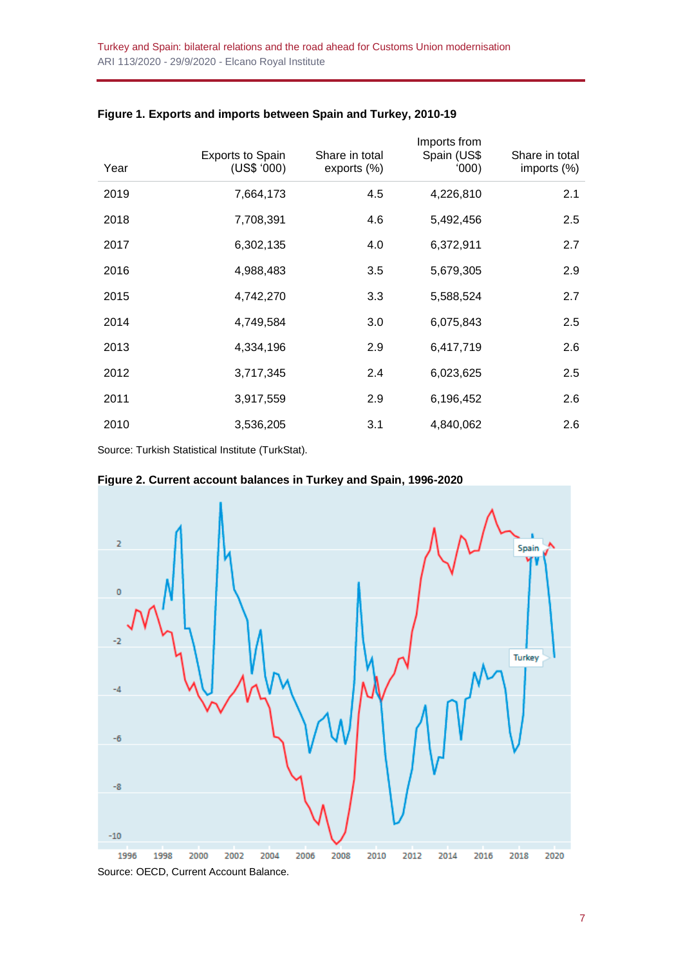| Year | <b>Exports to Spain</b><br>(US\$ '000) | Share in total<br>exports (%) | Imports from<br>Spain (US\$<br>(000) | Share in total<br>imports (%) |
|------|----------------------------------------|-------------------------------|--------------------------------------|-------------------------------|
| 2019 | 7,664,173                              | 4.5                           | 4,226,810                            | 2.1                           |
| 2018 | 7,708,391                              | 4.6                           | 5,492,456                            | 2.5                           |
| 2017 | 6,302,135                              | 4.0                           | 6,372,911                            | 2.7                           |
| 2016 | 4,988,483                              | 3.5                           | 5,679,305                            | 2.9                           |
| 2015 | 4,742,270                              | 3.3                           | 5,588,524                            | 2.7                           |
| 2014 | 4,749,584                              | 3.0                           | 6,075,843                            | 2.5                           |
| 2013 | 4,334,196                              | 2.9                           | 6,417,719                            | 2.6                           |
| 2012 | 3,717,345                              | 2.4                           | 6,023,625                            | 2.5                           |
| 2011 | 3,917,559                              | 2.9                           | 6,196,452                            | 2.6                           |
| 2010 | 3,536,205                              | 3.1                           | 4,840,062                            | 2.6                           |

#### **Figure 1. Exports and imports between Spain and Turkey, 2010-19**

Source: Turkish Statistical Institute (TurkStat).



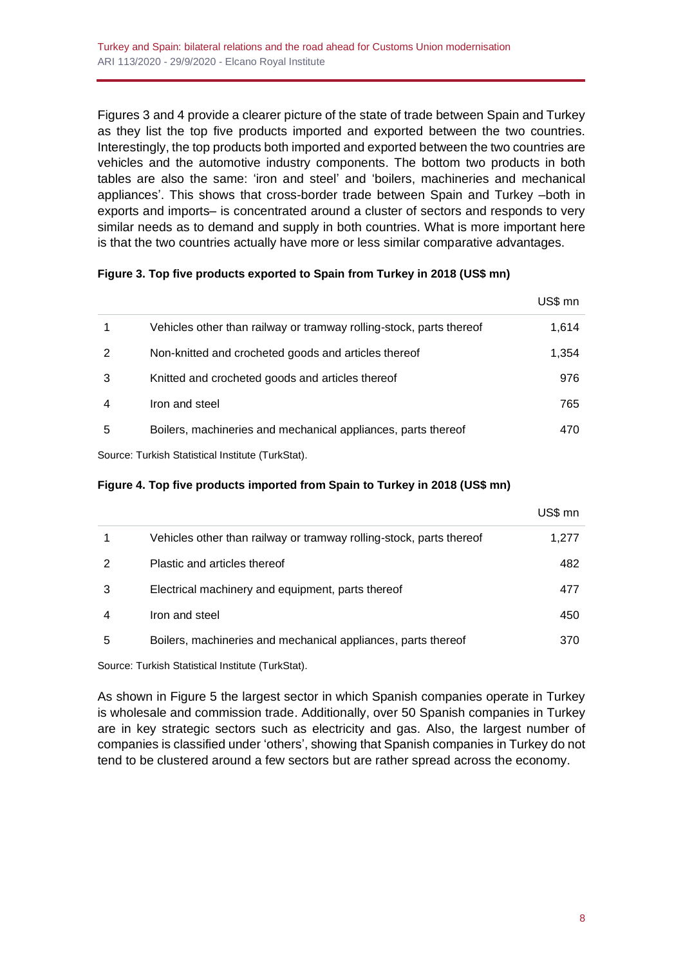Figures 3 and 4 provide a clearer picture of the state of trade between Spain and Turkey as they list the top five products imported and exported between the two countries. Interestingly, the top products both imported and exported between the two countries are vehicles and the automotive industry components. The bottom two products in both tables are also the same: 'iron and steel' and 'boilers, machineries and mechanical appliances'. This shows that cross-border trade between Spain and Turkey –both in exports and imports– is concentrated around a cluster of sectors and responds to very similar needs as to demand and supply in both countries. What is more important here is that the two countries actually have more or less similar comparative advantages.

## **Figure 3. Top five products exported to Spain from Turkey in 2018 (US\$ mn)**

|   |                                                                     | US\$ mn |
|---|---------------------------------------------------------------------|---------|
|   | Vehicles other than railway or tramway rolling-stock, parts thereof | 1,614   |
| 2 | Non-knitted and crocheted goods and articles thereof                | 1,354   |
| 3 | Knitted and crocheted goods and articles thereof                    | 976     |
| 4 | Iron and steel                                                      | 765     |
| 5 | Boilers, machineries and mechanical appliances, parts thereof       | 470     |
|   |                                                                     |         |

Source: Turkish Statistical Institute (TurkStat).

#### **Figure 4. Top five products imported from Spain to Turkey in 2018 (US\$ mn)**

|   |                                                                     | US\$ mn |
|---|---------------------------------------------------------------------|---------|
|   | Vehicles other than railway or tramway rolling-stock, parts thereof | 1,277   |
| 2 | Plastic and articles thereof                                        | 482     |
| 3 | Electrical machinery and equipment, parts thereof                   | 477     |
| 4 | Iron and steel                                                      | 450     |
| 5 | Boilers, machineries and mechanical appliances, parts thereof       | 370     |

Source: Turkish Statistical Institute (TurkStat).

As shown in Figure 5 the largest sector in which Spanish companies operate in Turkey is wholesale and commission trade. Additionally, over 50 Spanish companies in Turkey are in key strategic sectors such as electricity and gas. Also, the largest number of companies is classified under 'others', showing that Spanish companies in Turkey do not tend to be clustered around a few sectors but are rather spread across the economy.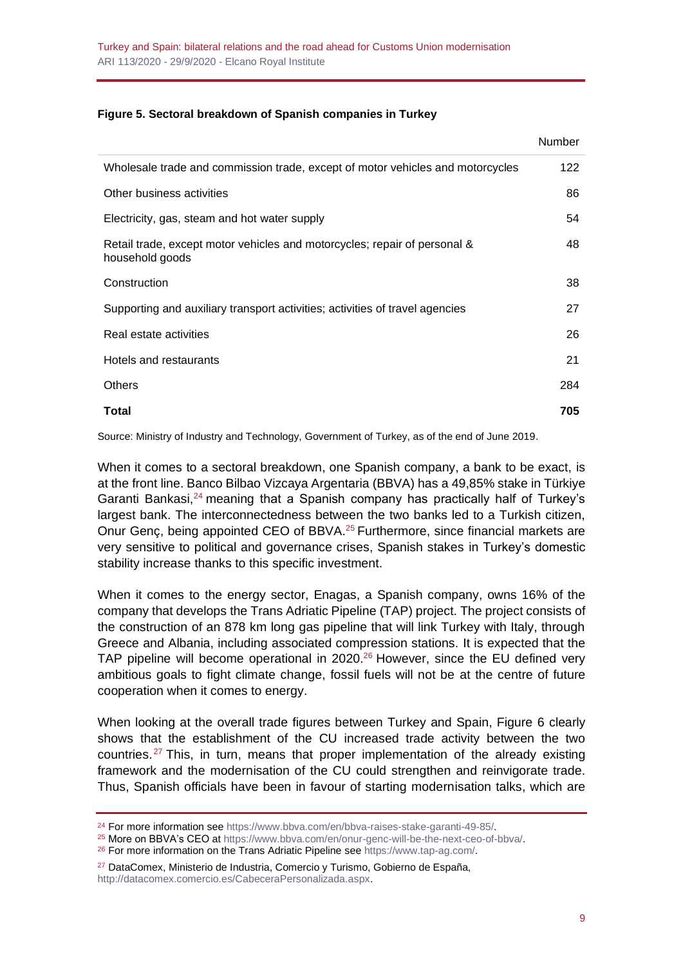#### **Figure 5. Sectoral breakdown of Spanish companies in Turkey**

|                                                                                              | <b>Number</b> |
|----------------------------------------------------------------------------------------------|---------------|
| Wholesale trade and commission trade, except of motor vehicles and motorcycles               | 122           |
| Other business activities                                                                    | 86            |
| Electricity, gas, steam and hot water supply                                                 | 54            |
| Retail trade, except motor vehicles and motorcycles; repair of personal &<br>household goods | 48            |
| Construction                                                                                 | 38            |
| Supporting and auxiliary transport activities; activities of travel agencies                 | 27            |
| Real estate activities                                                                       | 26            |
| Hotels and restaurants                                                                       | 21            |
| <b>Others</b>                                                                                | 284           |
| Total                                                                                        | 705           |

Source: Ministry of Industry and Technology, Government of Turkey, as of the end of June 2019.

When it comes to a sectoral breakdown, one Spanish company, a bank to be exact, is at the front line. Banco Bilbao Vizcaya Argentaria (BBVA) has a 49,85% stake in Türkiye Garanti Bankasi,<sup>24</sup> meaning that a Spanish company has practically half of Turkey's largest bank. The interconnectedness between the two banks led to a Turkish citizen, Onur Genç, being appointed CEO of BBVA.<sup>25</sup> Furthermore, since financial markets are very sensitive to political and governance crises, Spanish stakes in Turkey's domestic stability increase thanks to this specific investment.

When it comes to the energy sector, Enagas, a Spanish company, owns 16% of the company that develops the Trans Adriatic Pipeline (TAP) project. The project consists of the construction of an 878 km long gas pipeline that will link Turkey with Italy, through Greece and Albania, including associated compression stations. It is expected that the TAP pipeline will become operational in 2020.<sup>26</sup> However, since the EU defined very ambitious goals to fight climate change, fossil fuels will not be at the centre of future cooperation when it comes to energy.

When looking at the overall trade figures between Turkey and Spain, Figure 6 clearly shows that the establishment of the CU increased trade activity between the two countries. <sup>27</sup> This, in turn, means that proper implementation of the already existing framework and the modernisation of the CU could strengthen and reinvigorate trade. Thus, Spanish officials have been in favour of starting modernisation talks, which are

<sup>27</sup> DataComex, Ministerio de Industria, Comercio y Turismo, Gobierno de España, [http://datacomex.comercio.es/CabeceraPersonalizada.aspx.](http://datacomex.comercio.es/CabeceraPersonalizada.aspx)

<sup>&</sup>lt;sup>24</sup> For more information see [https://www.bbva.com/en/bbva-raises-stake-garanti-49-85/.](https://www.bbva.com/en/bbva-raises-stake-garanti-49-85/)

<sup>25</sup> More on BBVA's CEO at [https://www.bbva.com/en/onur-genc-will-be-the-next-ceo-of-bbva/.](https://www.bbva.com/en/onur-genc-will-be-the-next-ceo-of-bbva/)

<sup>26</sup> For more information on the Trans Adriatic Pipeline see [https://www.tap-ag.com/.](https://www.tap-ag.com/)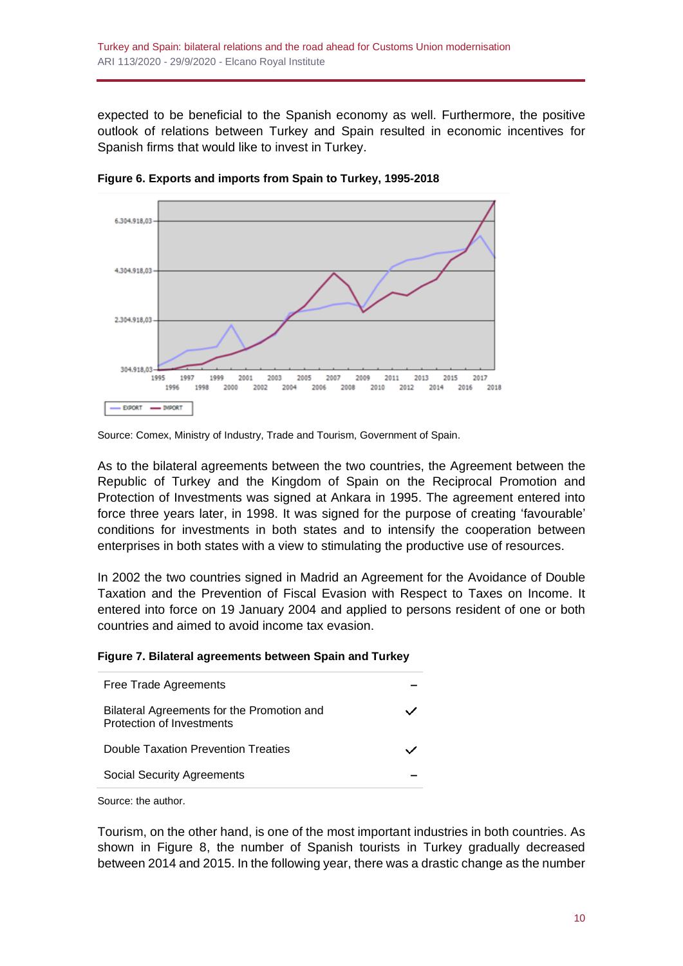expected to be beneficial to the Spanish economy as well. Furthermore, the positive outlook of relations between Turkey and Spain resulted in economic incentives for Spanish firms that would like to invest in Turkey.



**Figure 6. Exports and imports from Spain to Turkey, 1995-2018**

As to the bilateral agreements between the two countries, the Agreement between the Republic of Turkey and the Kingdom of Spain on the Reciprocal Promotion and Protection of Investments was signed at Ankara in 1995. The agreement entered into force three years later, in 1998. It was signed for the purpose of creating 'favourable' conditions for investments in both states and to intensify the cooperation between enterprises in both states with a view to stimulating the productive use of resources.

In 2002 the two countries signed in Madrid an Agreement for the Avoidance of Double Taxation and the Prevention of Fiscal Evasion with Respect to Taxes on Income. It entered into force on 19 January 2004 and applied to persons resident of one or both countries and aimed to avoid income tax evasion.

| Free Trade Agreements                                                   |  |
|-------------------------------------------------------------------------|--|
| Bilateral Agreements for the Promotion and<br>Protection of Investments |  |
| <b>Double Taxation Prevention Treaties</b>                              |  |
| <b>Social Security Agreements</b>                                       |  |
|                                                                         |  |

Source: the author.

Tourism, on the other hand, is one of the most important industries in both countries. As shown in Figure 8, the number of Spanish tourists in Turkey gradually decreased between 2014 and 2015. In the following year, there was a drastic change as the number

Source: Comex, Ministry of Industry, Trade and Tourism, Government of Spain.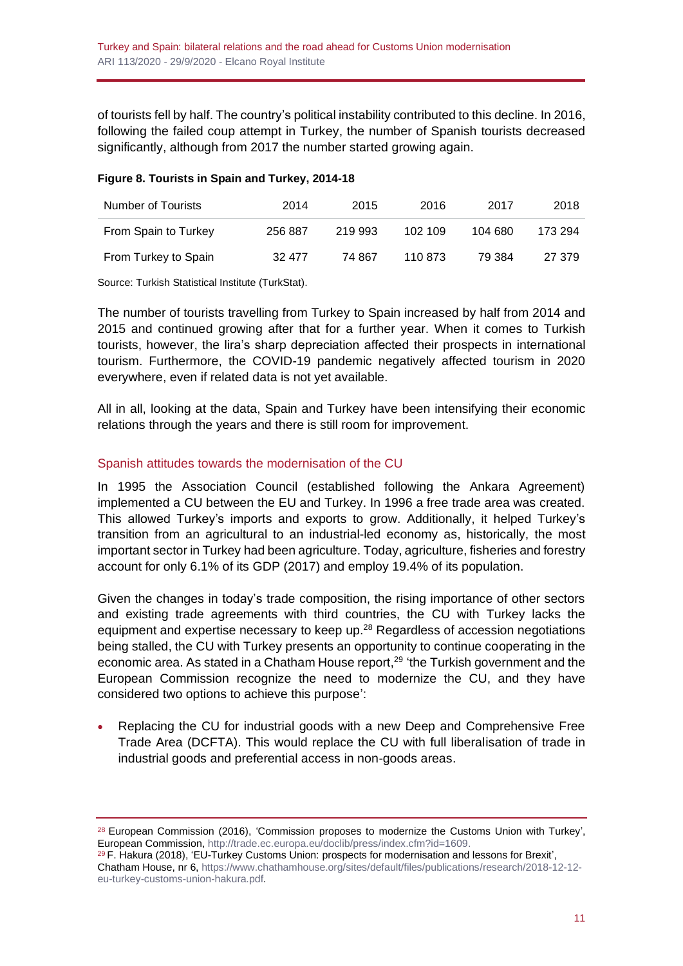of tourists fell by half. The country's political instability contributed to this decline. In 2016, following the failed coup attempt in Turkey, the number of Spanish tourists decreased significantly, although from 2017 the number started growing again.

#### **Figure 8. Tourists in Spain and Turkey, 2014-18**

| Number of Tourists   | 2014    | 2015    | 2016    | 2017    | 2018    |
|----------------------|---------|---------|---------|---------|---------|
| From Spain to Turkey | 256 887 | 219 993 | 102 109 | 104 680 | 173 294 |
| From Turkey to Spain | 32 477  | 74 867  | 110 873 | 79 384  | 27 379  |

Source: Turkish Statistical Institute (TurkStat).

The number of tourists travelling from Turkey to Spain increased by half from 2014 and 2015 and continued growing after that for a further year. When it comes to Turkish tourists, however, the lira's sharp depreciation affected their prospects in international tourism. Furthermore, the COVID-19 pandemic negatively affected tourism in 2020 everywhere, even if related data is not yet available.

All in all, looking at the data, Spain and Turkey have been intensifying their economic relations through the years and there is still room for improvement.

## Spanish attitudes towards the modernisation of the CU

In 1995 the Association Council (established following the Ankara Agreement) implemented a CU between the EU and Turkey. In 1996 a free trade area was created. This allowed Turkey's imports and exports to grow. Additionally, it helped Turkey's transition from an agricultural to an industrial-led economy as, historically, the most important sector in Turkey had been agriculture. Today, agriculture, fisheries and forestry account for only 6.1% of its GDP (2017) and employ 19.4% of its population.

Given the changes in today's trade composition, the rising importance of other sectors and existing trade agreements with third countries, the CU with Turkey lacks the equipment and expertise necessary to keep up.<sup>28</sup> Regardless of accession negotiations being stalled, the CU with Turkey presents an opportunity to continue cooperating in the economic area. As stated in a Chatham House report,<sup>29</sup> 'the Turkish government and the European Commission recognize the need to modernize the CU, and they have considered two options to achieve this purpose':

• Replacing the CU for industrial goods with a new Deep and Comprehensive Free Trade Area (DCFTA). This would replace the CU with full liberalisation of trade in industrial goods and preferential access in non-goods areas.

<sup>&</sup>lt;sup>28</sup> European Commission (2016), 'Commission proposes to modernize the Customs Union with Turkey', European Commission, [http://trade.ec.europa.eu/doclib/press/index.cfm?id=1609.](http://trade.ec.europa.eu/doclib/press/index.cfm?id=1609)

 $29$  F. Hakura (2018), 'EU-Turkey Customs Union: prospects for modernisation and lessons for Brexit', Chatham House, nr 6, [https://www.chathamhouse.org/sites/default/files/publications/research/2018-12-12](https://www.chathamhouse.org/sites/default/files/publications/research/2018-12-12-eu-turkey-customs-union-hakura.pdf) [eu-turkey-customs-union-hakura.pdf.](https://www.chathamhouse.org/sites/default/files/publications/research/2018-12-12-eu-turkey-customs-union-hakura.pdf)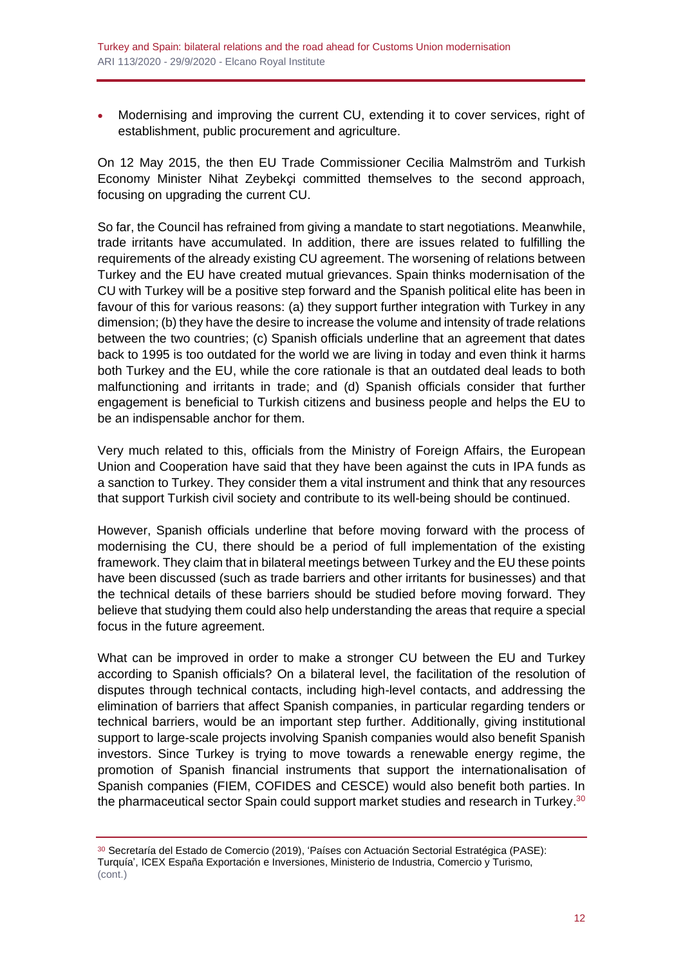• Modernising and improving the current CU, extending it to cover services, right of establishment, public procurement and agriculture.

On 12 May 2015, the then EU Trade Commissioner Cecilia Malmström and Turkish Economy Minister Nihat Zeybekçi committed themselves to the second approach, focusing on upgrading the current CU.

So far, the Council has refrained from giving a mandate to start negotiations. Meanwhile, trade irritants have accumulated. In addition, there are issues related to fulfilling the requirements of the already existing CU agreement. The worsening of relations between Turkey and the EU have created mutual grievances. Spain thinks modernisation of the CU with Turkey will be a positive step forward and the Spanish political elite has been in favour of this for various reasons: (a) they support further integration with Turkey in any dimension; (b) they have the desire to increase the volume and intensity of trade relations between the two countries; (c) Spanish officials underline that an agreement that dates back to 1995 is too outdated for the world we are living in today and even think it harms both Turkey and the EU, while the core rationale is that an outdated deal leads to both malfunctioning and irritants in trade; and (d) Spanish officials consider that further engagement is beneficial to Turkish citizens and business people and helps the EU to be an indispensable anchor for them.

Very much related to this, officials from the Ministry of Foreign Affairs, the European Union and Cooperation have said that they have been against the cuts in IPA funds as a sanction to Turkey. They consider them a vital instrument and think that any resources that support Turkish civil society and contribute to its well-being should be continued.

However, Spanish officials underline that before moving forward with the process of modernising the CU, there should be a period of full implementation of the existing framework. They claim that in bilateral meetings between Turkey and the EU these points have been discussed (such as trade barriers and other irritants for businesses) and that the technical details of these barriers should be studied before moving forward. They believe that studying them could also help understanding the areas that require a special focus in the future agreement.

What can be improved in order to make a stronger CU between the EU and Turkey according to Spanish officials? On a bilateral level, the facilitation of the resolution of disputes through technical contacts, including high-level contacts, and addressing the elimination of barriers that affect Spanish companies, in particular regarding tenders or technical barriers, would be an important step further. Additionally, giving institutional support to large-scale projects involving Spanish companies would also benefit Spanish investors. Since Turkey is trying to move towards a renewable energy regime, the promotion of Spanish financial instruments that support the internationalisation of Spanish companies (FIEM, COFIDES and CESCE) would also benefit both parties. In the pharmaceutical sector Spain could support market studies and research in Turkey.<sup>30</sup>

<sup>30</sup> Secretaría del Estado de Comercio (2019), 'Países con Actuación Sectorial Estratégica (PASE): Turquía', ICEX España Exportación e Inversiones, Ministerio de Industria, Comercio y Turismo, (cont.)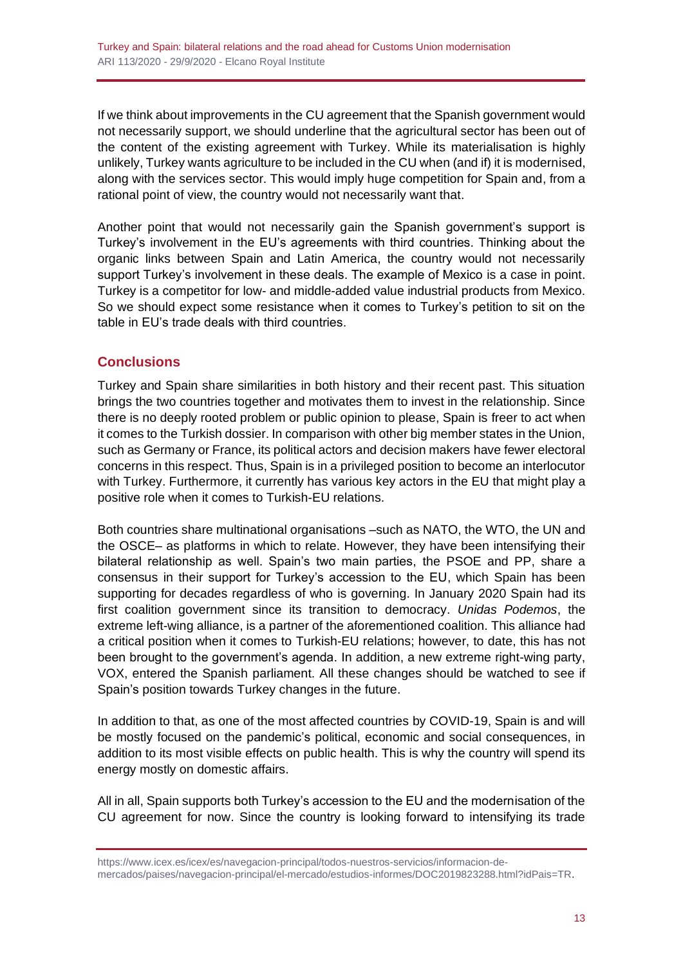If we think about improvements in the CU agreement that the Spanish government would not necessarily support, we should underline that the agricultural sector has been out of the content of the existing agreement with Turkey. While its materialisation is highly unlikely, Turkey wants agriculture to be included in the CU when (and if) it is modernised, along with the services sector. This would imply huge competition for Spain and, from a rational point of view, the country would not necessarily want that.

Another point that would not necessarily gain the Spanish government's support is Turkey's involvement in the EU's agreements with third countries. Thinking about the organic links between Spain and Latin America, the country would not necessarily support Turkey's involvement in these deals. The example of Mexico is a case in point. Turkey is a competitor for low- and middle-added value industrial products from Mexico. So we should expect some resistance when it comes to Turkey's petition to sit on the table in EU's trade deals with third countries.

# **Conclusions**

Turkey and Spain share similarities in both history and their recent past. This situation brings the two countries together and motivates them to invest in the relationship. Since there is no deeply rooted problem or public opinion to please, Spain is freer to act when it comes to the Turkish dossier. In comparison with other big member states in the Union, such as Germany or France, its political actors and decision makers have fewer electoral concerns in this respect. Thus, Spain is in a privileged position to become an interlocutor with Turkey. Furthermore, it currently has various key actors in the EU that might play a positive role when it comes to Turkish-EU relations.

Both countries share multinational organisations –such as NATO, the WTO, the UN and the OSCE– as platforms in which to relate. However, they have been intensifying their bilateral relationship as well. Spain's two main parties, the PSOE and PP, share a consensus in their support for Turkey's accession to the EU, which Spain has been supporting for decades regardless of who is governing. In January 2020 Spain had its first coalition government since its transition to democracy. *Unidas Podemos*, the extreme left-wing alliance, is a partner of the aforementioned coalition. This alliance had a critical position when it comes to Turkish-EU relations; however, to date, this has not been brought to the government's agenda. In addition, a new extreme right-wing party, VOX, entered the Spanish parliament. All these changes should be watched to see if Spain's position towards Turkey changes in the future.

In addition to that, as one of the most affected countries by COVID-19, Spain is and will be mostly focused on the pandemic's political, economic and social consequences, in addition to its most visible effects on public health. This is why the country will spend its energy mostly on domestic affairs.

All in all, Spain supports both Turkey's accession to the EU and the modernisation of the CU agreement for now. Since the country is looking forward to intensifying its trade

[https://www.icex.es/icex/es/navegacion-principal/todos-nuestros-servicios/informacion-de](https://www.icex.es/icex/es/navegacion-principal/todos-nuestros-servicios/informacion-de-mercados/paises/navegacion-principal/el-mercado/estudios-informes/DOC2019823288.html?idPais=TR)[mercados/paises/navegacion-principal/el-mercado/estudios-informes/DOC2019823288.html?idPais=TR.](https://www.icex.es/icex/es/navegacion-principal/todos-nuestros-servicios/informacion-de-mercados/paises/navegacion-principal/el-mercado/estudios-informes/DOC2019823288.html?idPais=TR)